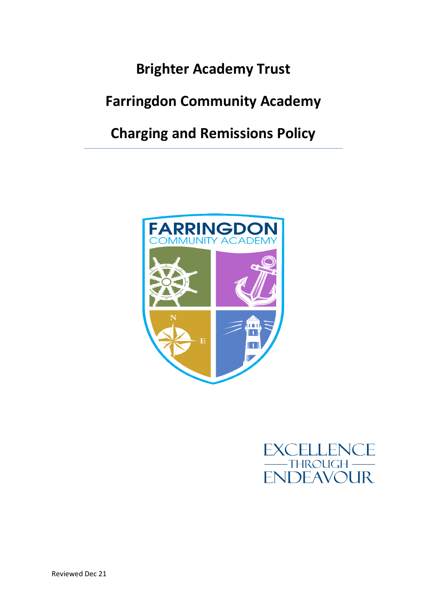## **Brighter Academy Trust**

# **Farringdon Community Academy**

## **Charging and Remissions Policy**



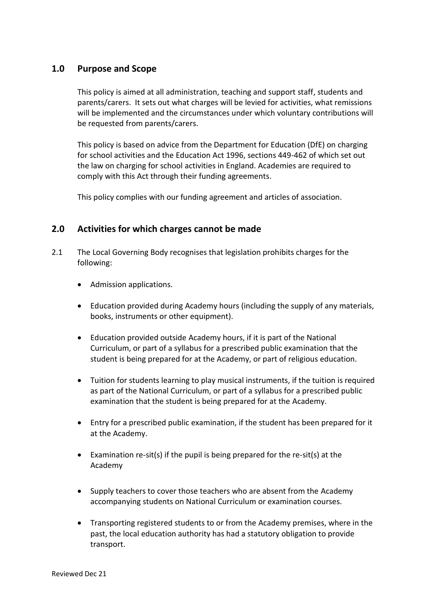## **1.0 Purpose and Scope**

This policy is aimed at all administration, teaching and support staff, students and parents/carers. It sets out what charges will be levied for activities, what remissions will be implemented and the circumstances under which voluntary contributions will be requested from parents/carers.

This policy is based on advice from the Department for Education (DfE) on charging for school activities and the Education Act 1996, sections 449-462 of which set out the law on charging for school activities in England. Academies are required to comply with this Act through their funding agreements.

This policy complies with our funding agreement and articles of association.

## **2.0 Activities for which charges cannot be made**

- 2.1 The Local Governing Body recognises that legislation prohibits charges for the following:
	- Admission applications.
	- Education provided during Academy hours (including the supply of any materials, books, instruments or other equipment).
	- Education provided outside Academy hours, if it is part of the National Curriculum, or part of a syllabus for a prescribed public examination that the student is being prepared for at the Academy, or part of religious education.
	- Tuition for students learning to play musical instruments, if the tuition is required as part of the National Curriculum, or part of a syllabus for a prescribed public examination that the student is being prepared for at the Academy.
	- Entry for a prescribed public examination, if the student has been prepared for it at the Academy.
	- Examination re-sit(s) if the pupil is being prepared for the re-sit(s) at the Academy
	- Supply teachers to cover those teachers who are absent from the Academy accompanying students on National Curriculum or examination courses.
	- Transporting registered students to or from the Academy premises, where in the past, the local education authority has had a statutory obligation to provide transport.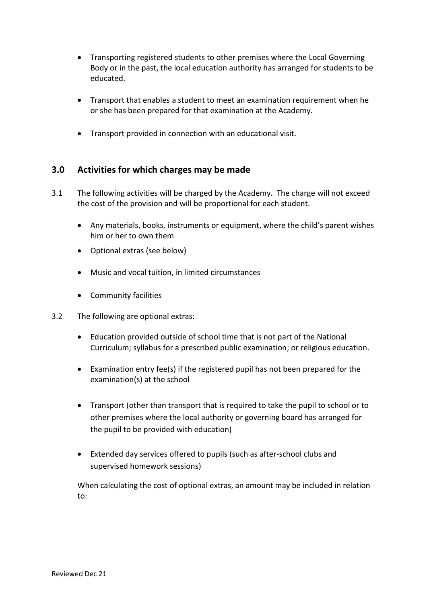- Transporting registered students to other premises where the Local Governing Body or in the past, the local education authority has arranged for students to be educated.
- Transport that enables a student to meet an examination requirement when he or she has been prepared for that examination at the Academy.
- Transport provided in connection with an educational visit.

## **3.0 Activities for which charges may be made**

- 3.1 The following activities will be charged by the Academy. The charge will not exceed the cost of the provision and will be proportional for each student.
	- Any materials, books, instruments or equipment, where the child's parent wishes him or her to own them
	- Optional extras (see below)
	- Music and vocal tuition, in limited circumstances
	- Community facilities
- 3.2 The following are optional extras:
	- Education provided outside of school time that is not part of the National Curriculum; syllabus for a prescribed public examination; or religious education.
	- Examination entry fee(s) if the registered pupil has not been prepared for the examination(s) at the school
	- Transport (other than transport that is required to take the pupil to school or to other premises where the local authority or governing board has arranged for the pupil to be provided with education)
	- Extended day services offered to pupils (such as after-school clubs and supervised homework sessions)

When calculating the cost of optional extras, an amount may be included in relation to: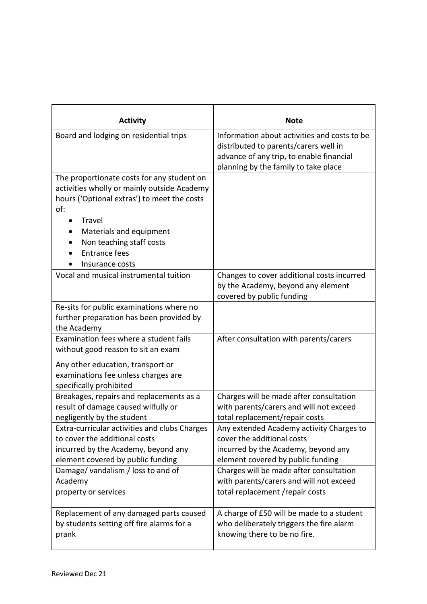| <b>Activity</b>                                                                                                                                                                                                                                             | <b>Note</b>                                                                                                                                                               |
|-------------------------------------------------------------------------------------------------------------------------------------------------------------------------------------------------------------------------------------------------------------|---------------------------------------------------------------------------------------------------------------------------------------------------------------------------|
| Board and lodging on residential trips                                                                                                                                                                                                                      | Information about activities and costs to be<br>distributed to parents/carers well in<br>advance of any trip, to enable financial<br>planning by the family to take place |
| The proportionate costs for any student on<br>activities wholly or mainly outside Academy<br>hours ('Optional extras') to meet the costs<br>of:<br>Travel<br>Materials and equipment<br>Non teaching staff costs<br><b>Entrance fees</b><br>Insurance costs |                                                                                                                                                                           |
| Vocal and musical instrumental tuition                                                                                                                                                                                                                      | Changes to cover additional costs incurred<br>by the Academy, beyond any element<br>covered by public funding                                                             |
| Re-sits for public examinations where no<br>further preparation has been provided by<br>the Academy                                                                                                                                                         |                                                                                                                                                                           |
| Examination fees where a student fails<br>without good reason to sit an exam                                                                                                                                                                                | After consultation with parents/carers                                                                                                                                    |
| Any other education, transport or<br>examinations fee unless charges are<br>specifically prohibited                                                                                                                                                         |                                                                                                                                                                           |
| Breakages, repairs and replacements as a<br>result of damage caused wilfully or<br>negligently by the student                                                                                                                                               | Charges will be made after consultation<br>with parents/carers and will not exceed<br>total replacement/repair costs                                                      |
| Extra-curricular activities and clubs Charges<br>to cover the additional costs<br>incurred by the Academy, beyond any<br>element covered by public funding                                                                                                  | Any extended Academy activity Charges to<br>cover the additional costs<br>incurred by the Academy, beyond any<br>element covered by public funding                        |
| Damage/vandalism / loss to and of<br>Academy<br>property or services                                                                                                                                                                                        | Charges will be made after consultation<br>with parents/carers and will not exceed<br>total replacement / repair costs                                                    |
| Replacement of any damaged parts caused<br>by students setting off fire alarms for a<br>prank                                                                                                                                                               | A charge of £50 will be made to a student<br>who deliberately triggers the fire alarm<br>knowing there to be no fire.                                                     |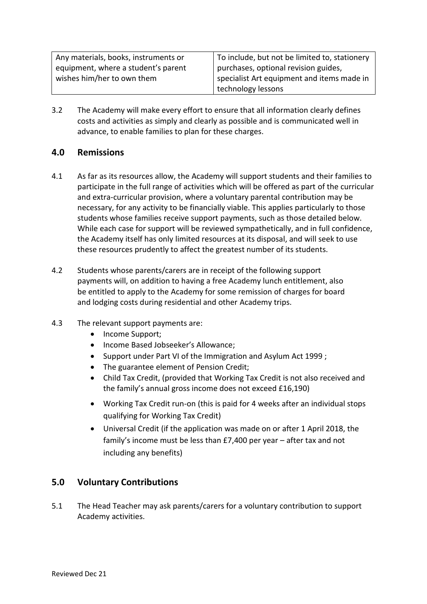| Any materials, books, instruments or | To include, but not be limited to, stationery |
|--------------------------------------|-----------------------------------------------|
| equipment, where a student's parent  | purchases, optional revision guides,          |
| wishes him/her to own them           | specialist Art equipment and items made in    |
|                                      | technology lessons                            |

3.2 The Academy will make every effort to ensure that all information clearly defines costs and activities as simply and clearly as possible and is communicated well in advance, to enable families to plan for these charges.

#### **4.0 Remissions**

- 4.1 As far as its resources allow, the Academy will support students and their families to participate in the full range of activities which will be offered as part of the curricular and extra-curricular provision, where a voluntary parental contribution may be necessary, for any activity to be financially viable. This applies particularly to those students whose families receive support payments, such as those detailed below. While each case for support will be reviewed sympathetically, and in full confidence, the Academy itself has only limited resources at its disposal, and will seek to use these resources prudently to affect the greatest number of its students.
- 4.2 Students whose parents/carers are in receipt of the following support payments will, on addition to having a free Academy lunch entitlement, also be entitled to apply to the Academy for some remission of charges for board and lodging costs during residential and other Academy trips.
- 4.3 The relevant support payments are:
	- Income Support:
	- Income Based Jobseeker's Allowance;
	- Support under Part VI of the Immigration and Asylum Act 1999;
	- The guarantee element of Pension Credit;
	- Child Tax Credit, (provided that Working Tax Credit is not also received and the family's annual gross income does not exceed £16,190)
	- Working Tax Credit run-on (this is paid for 4 weeks after an individual stops qualifying for Working Tax Credit)
	- Universal Credit (if the application was made on or after 1 April 2018, the family's income must be less than £7,400 per year – after tax and not including any benefits)

## **5.0 Voluntary Contributions**

5.1 The Head Teacher may ask parents/carers for a voluntary contribution to support Academy activities.